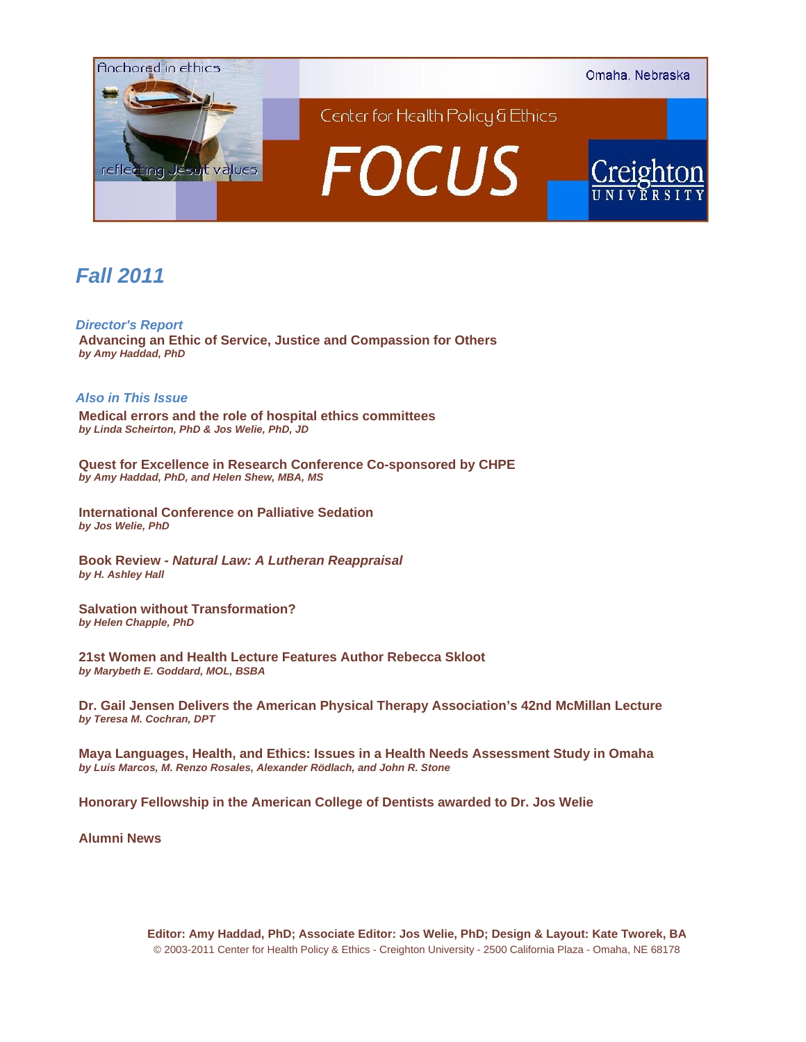

# *Fall 2011*

*Director's Report*  **Advancing an Ethic of Service, Justice and Compassion for Others**  *by Amy Haddad, PhD*

## *Also in This Issue*

**Medical errors and the role of hospital ethics committees**  *by Linda Scheirton, PhD & Jos Welie, PhD, JD*

**Quest for Excellence in Research Conference Co-sponsored by CHPE**  *by Amy Haddad, PhD, and Helen Shew, MBA, MS* 

**International Conference on Palliative Sedation**  *by Jos Welie, PhD*

**Book Review -** *Natural Law: A Lutheran Reappraisal by H. Ashley Hall*

**Salvation without Transformation?**  *by Helen Chapple, PhD*

**21st Women and Health Lecture Features Author Rebecca Skloot**  *by Marybeth E. Goddard, MOL, BSBA* 

**Dr. Gail Jensen Delivers the American Physical Therapy Association's 42nd McMillan Lecture**  *by Teresa M. Cochran, DPT*

**Maya Languages, Health, and Ethics: Issues in a Health Needs Assessment Study in Omaha**  *by Luis Marcos, M. Renzo Rosales, Alexander Rödlach, and John R. Stone*

**Honorary Fellowship in the American College of Dentists awarded to Dr. Jos Welie** 

**Alumni News**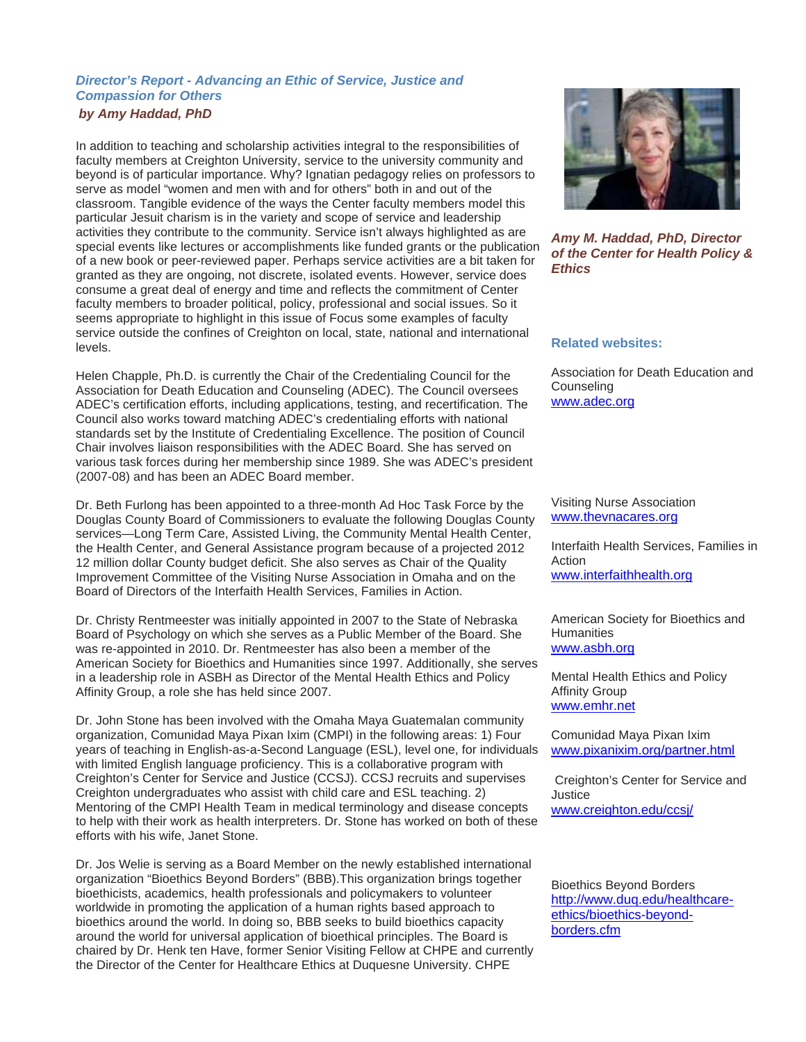## *Director's Report - Advancing an Ethic of Service, Justice and Compassion for Others by Amy Haddad, PhD*

In addition to teaching and scholarship activities integral to the responsibilities of faculty members at Creighton University, service to the university community and beyond is of particular importance. Why? Ignatian pedagogy relies on professors to serve as model "women and men with and for others" both in and out of the classroom. Tangible evidence of the ways the Center faculty members model this particular Jesuit charism is in the variety and scope of service and leadership activities they contribute to the community. Service isn't always highlighted as are special events like lectures or accomplishments like funded grants or the publication of a new book or peer-reviewed paper. Perhaps service activities are a bit taken for granted as they are ongoing, not discrete, isolated events. However, service does consume a great deal of energy and time and reflects the commitment of Center faculty members to broader political, policy, professional and social issues. So it seems appropriate to highlight in this issue of Focus some examples of faculty service outside the confines of Creighton on local, state, national and international levels.

Helen Chapple, Ph.D. is currently the Chair of the Credentialing Council for the Association for Death Education and Counseling (ADEC). The Council oversees ADEC's certification efforts, including applications, testing, and recertification. The Council also works toward matching ADEC's credentialing efforts with national standards set by the Institute of Credentialing Excellence. The position of Council Chair involves liaison responsibilities with the ADEC Board. She has served on various task forces during her membership since 1989. She was ADEC's president (2007-08) and has been an ADEC Board member.

Dr. Beth Furlong has been appointed to a three-month Ad Hoc Task Force by the Douglas County Board of Commissioners to evaluate the following Douglas County services—Long Term Care, Assisted Living, the Community Mental Health Center, the Health Center, and General Assistance program because of a projected 2012 12 million dollar County budget deficit. She also serves as Chair of the Quality Improvement Committee of the Visiting Nurse Association in Omaha and on the Board of Directors of the Interfaith Health Services, Families in Action.

Dr. Christy Rentmeester was initially appointed in 2007 to the State of Nebraska Board of Psychology on which she serves as a Public Member of the Board. She was re-appointed in 2010. Dr. Rentmeester has also been a member of the American Society for Bioethics and Humanities since 1997. Additionally, she serves in a leadership role in ASBH as Director of the Mental Health Ethics and Policy Affinity Group, a role she has held since 2007.

Dr. John Stone has been involved with the Omaha Maya Guatemalan community organization, Comunidad Maya Pixan Ixim (CMPI) in the following areas: 1) Four years of teaching in English-as-a-Second Language (ESL), level one, for individuals with limited English language proficiency. This is a collaborative program with Creighton's Center for Service and Justice (CCSJ). CCSJ recruits and supervises Creighton undergraduates who assist with child care and ESL teaching. 2) Mentoring of the CMPI Health Team in medical terminology and disease concepts to help with their work as health interpreters. Dr. Stone has worked on both of these efforts with his wife, Janet Stone.

Dr. Jos Welie is serving as a Board Member on the newly established international organization "Bioethics Beyond Borders" (BBB).This organization brings together bioethicists, academics, health professionals and policymakers to volunteer worldwide in promoting the application of a human rights based approach to bioethics around the world. In doing so, BBB seeks to build bioethics capacity around the world for universal application of bioethical principles. The Board is chaired by Dr. Henk ten Have, former Senior Visiting Fellow at CHPE and currently the Director of the Center for Healthcare Ethics at Duquesne University. CHPE



*Amy M. Haddad, PhD, Director of the Center for Health Policy & Ethics* 

#### **Related websites:**

Association for Death Education and **Counseling** www.adec.org

Visiting Nurse Association www.thevnacares.org

Interfaith Health Services, Families in Action www.interfaithhealth.org

American Society for Bioethics and **Humanities** www.asbh.org

Mental Health Ethics and Policy Affinity Group www.emhr.net

Comunidad Maya Pixan Ixim www.pixanixim.org/partner.html

Creighton's Center for Service and **Justice** www.creighton.edu/ccsj/

Bioethics Beyond Borders http://www.duq.edu/healthcareethics/bioethics-beyondborders.cfm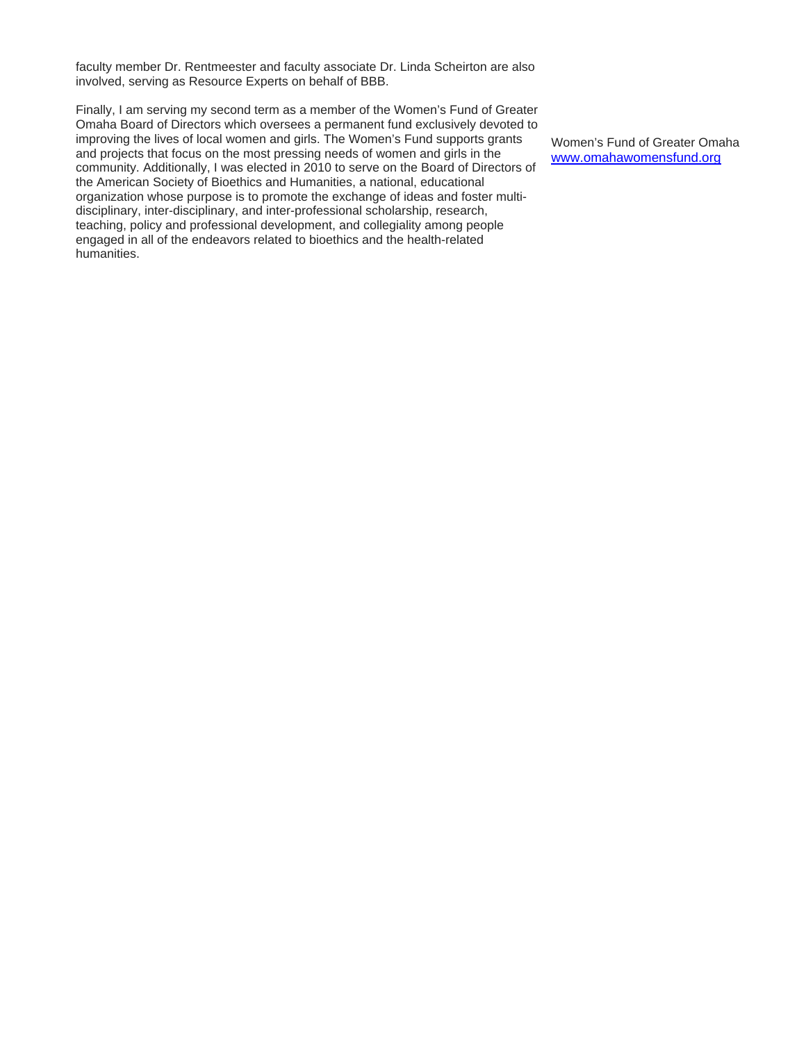faculty member Dr. Rentmeester and faculty associate Dr. Linda Scheirton are also involved, serving as Resource Experts on behalf of BBB.

Finally, I am serving my second term as a member of the Women's Fund of Greater Omaha Board of Directors which oversees a permanent fund exclusively devoted to improving the lives of local women and girls. The Women's Fund supports grants and projects that focus on the most pressing needs of women and girls in the community. Additionally, I was elected in 2010 to serve on the Board of Directors of the American Society of Bioethics and Humanities, a national, educational organization whose purpose is to promote the exchange of ideas and foster multidisciplinary, inter-disciplinary, and inter-professional scholarship, research, teaching, policy and professional development, and collegiality among people engaged in all of the endeavors related to bioethics and the health-related humanities.

Women's Fund of Greater Omaha www.omahawomensfund.org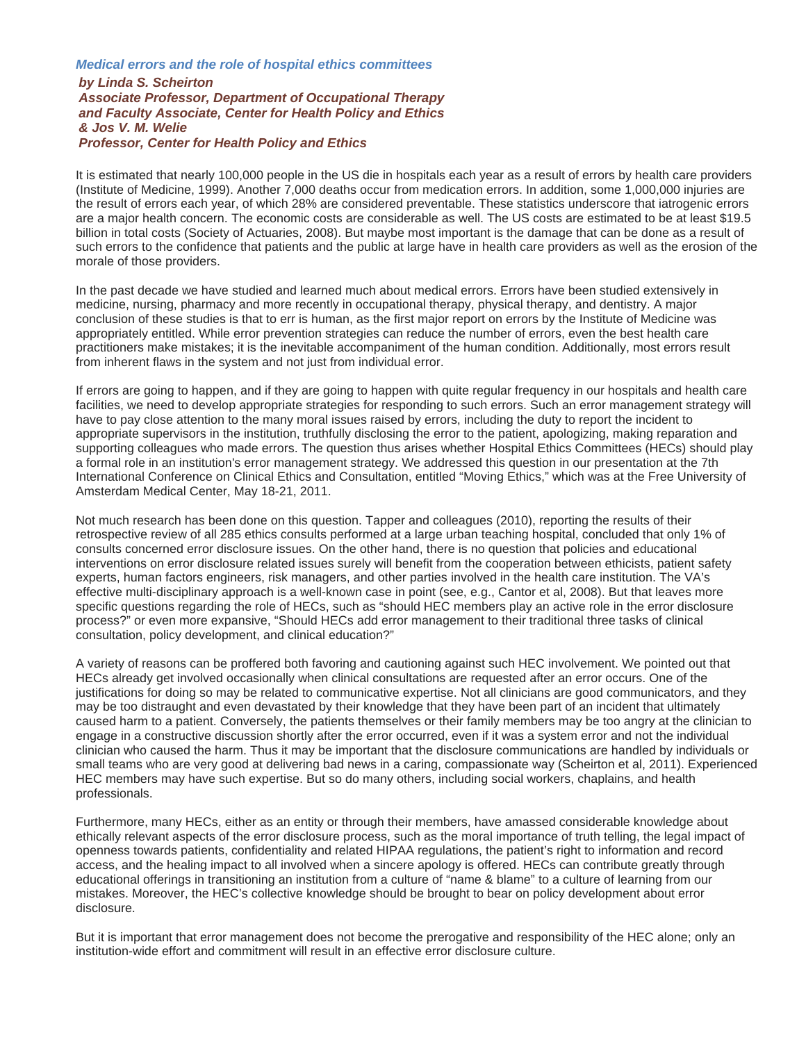## *Medical errors and the role of hospital ethics committees by Linda S. Scheirton Associate Professor, Department of Occupational Therapy and Faculty Associate, Center for Health Policy and Ethics & Jos V. M. Welie Professor, Center for Health Policy and Ethics*

It is estimated that nearly 100,000 people in the US die in hospitals each year as a result of errors by health care providers (Institute of Medicine, 1999). Another 7,000 deaths occur from medication errors. In addition, some 1,000,000 injuries are the result of errors each year, of which 28% are considered preventable. These statistics underscore that iatrogenic errors are a major health concern. The economic costs are considerable as well. The US costs are estimated to be at least \$19.5 billion in total costs (Society of Actuaries, 2008). But maybe most important is the damage that can be done as a result of such errors to the confidence that patients and the public at large have in health care providers as well as the erosion of the morale of those providers.

In the past decade we have studied and learned much about medical errors. Errors have been studied extensively in medicine, nursing, pharmacy and more recently in occupational therapy, physical therapy, and dentistry. A major conclusion of these studies is that to err is human, as the first major report on errors by the Institute of Medicine was appropriately entitled. While error prevention strategies can reduce the number of errors, even the best health care practitioners make mistakes; it is the inevitable accompaniment of the human condition. Additionally, most errors result from inherent flaws in the system and not just from individual error.

If errors are going to happen, and if they are going to happen with quite regular frequency in our hospitals and health care facilities, we need to develop appropriate strategies for responding to such errors. Such an error management strategy will have to pay close attention to the many moral issues raised by errors, including the duty to report the incident to appropriate supervisors in the institution, truthfully disclosing the error to the patient, apologizing, making reparation and supporting colleagues who made errors. The question thus arises whether Hospital Ethics Committees (HECs) should play a formal role in an institution's error management strategy. We addressed this question in our presentation at the 7th International Conference on Clinical Ethics and Consultation, entitled "Moving Ethics," which was at the Free University of Amsterdam Medical Center, May 18-21, 2011.

Not much research has been done on this question. Tapper and colleagues (2010), reporting the results of their retrospective review of all 285 ethics consults performed at a large urban teaching hospital, concluded that only 1% of consults concerned error disclosure issues. On the other hand, there is no question that policies and educational interventions on error disclosure related issues surely will benefit from the cooperation between ethicists, patient safety experts, human factors engineers, risk managers, and other parties involved in the health care institution. The VA's effective multi-disciplinary approach is a well-known case in point (see, e.g., Cantor et al, 2008). But that leaves more specific questions regarding the role of HECs, such as "should HEC members play an active role in the error disclosure process?" or even more expansive, "Should HECs add error management to their traditional three tasks of clinical consultation, policy development, and clinical education?"

A variety of reasons can be proffered both favoring and cautioning against such HEC involvement. We pointed out that HECs already get involved occasionally when clinical consultations are requested after an error occurs. One of the justifications for doing so may be related to communicative expertise. Not all clinicians are good communicators, and they may be too distraught and even devastated by their knowledge that they have been part of an incident that ultimately caused harm to a patient. Conversely, the patients themselves or their family members may be too angry at the clinician to engage in a constructive discussion shortly after the error occurred, even if it was a system error and not the individual clinician who caused the harm. Thus it may be important that the disclosure communications are handled by individuals or small teams who are very good at delivering bad news in a caring, compassionate way (Scheirton et al, 2011). Experienced HEC members may have such expertise. But so do many others, including social workers, chaplains, and health professionals.

Furthermore, many HECs, either as an entity or through their members, have amassed considerable knowledge about ethically relevant aspects of the error disclosure process, such as the moral importance of truth telling, the legal impact of openness towards patients, confidentiality and related HIPAA regulations, the patient's right to information and record access, and the healing impact to all involved when a sincere apology is offered. HECs can contribute greatly through educational offerings in transitioning an institution from a culture of "name & blame" to a culture of learning from our mistakes. Moreover, the HEC's collective knowledge should be brought to bear on policy development about error disclosure.

But it is important that error management does not become the prerogative and responsibility of the HEC alone; only an institution-wide effort and commitment will result in an effective error disclosure culture.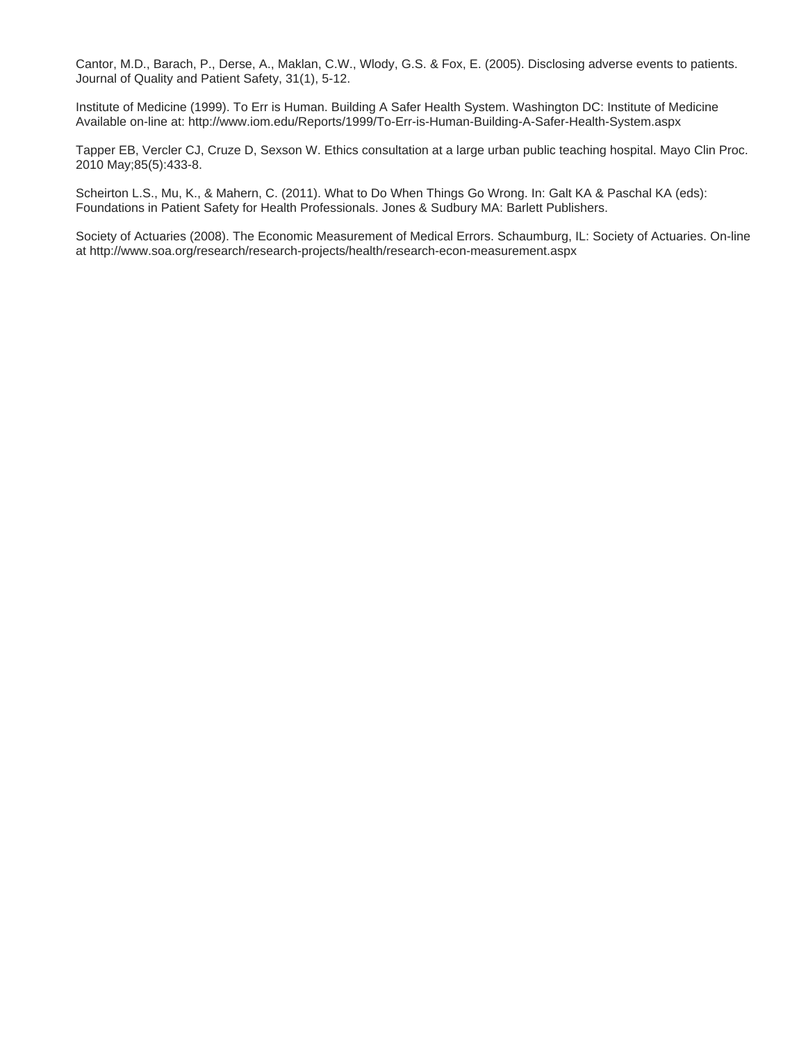Cantor, M.D., Barach, P., Derse, A., Maklan, C.W., Wlody, G.S. & Fox, E. (2005). Disclosing adverse events to patients. Journal of Quality and Patient Safety, 31(1), 5-12.

Institute of Medicine (1999). To Err is Human. Building A Safer Health System. Washington DC: Institute of Medicine Available on-line at: http://www.iom.edu/Reports/1999/To-Err-is-Human-Building-A-Safer-Health-System.aspx

Tapper EB, Vercler CJ, Cruze D, Sexson W. Ethics consultation at a large urban public teaching hospital. Mayo Clin Proc. 2010 May;85(5):433-8.

Scheirton L.S., Mu, K., & Mahern, C. (2011). What to Do When Things Go Wrong. In: Galt KA & Paschal KA (eds): Foundations in Patient Safety for Health Professionals. Jones & Sudbury MA: Barlett Publishers.

Society of Actuaries (2008). The Economic Measurement of Medical Errors. Schaumburg, IL: Society of Actuaries. On-line at http://www.soa.org/research/research-projects/health/research-econ-measurement.aspx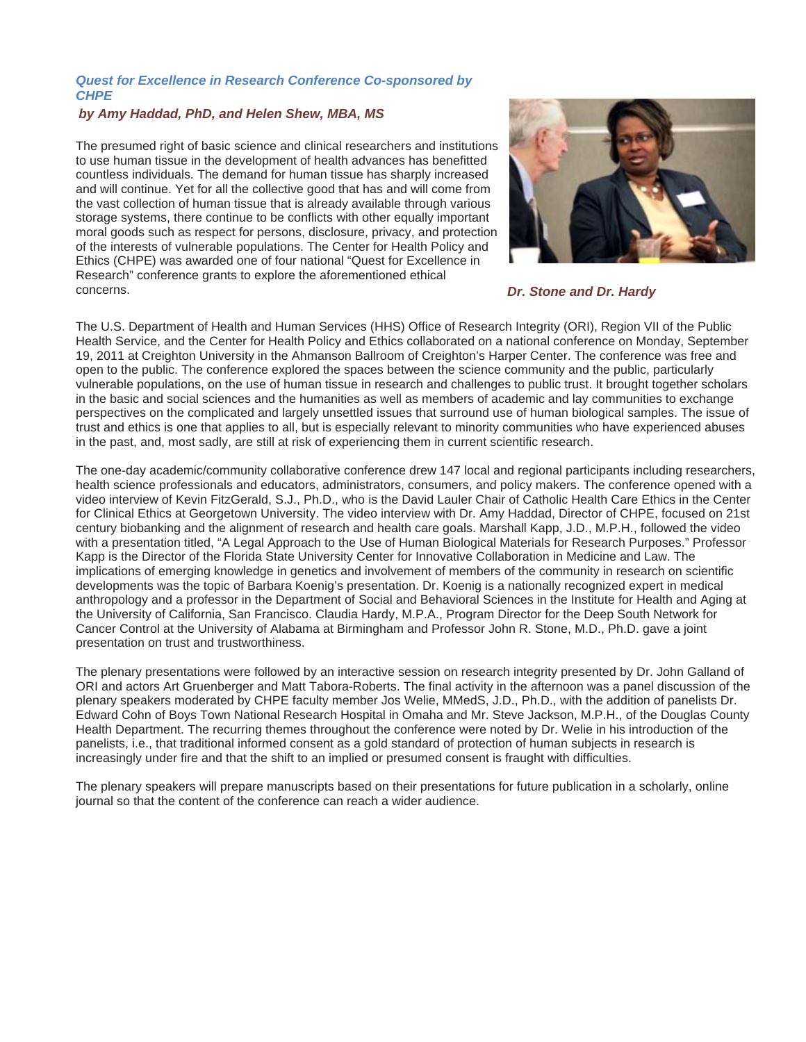## *Quest for Excellence in Research Conference Co-sponsored by CHPE*

#### *by Amy Haddad, PhD, and Helen Shew, MBA, MS*

The presumed right of basic science and clinical researchers and institutions to use human tissue in the development of health advances has benefitted countless individuals. The demand for human tissue has sharply increased and will continue. Yet for all the collective good that has and will come from the vast collection of human tissue that is already available through various storage systems, there continue to be conflicts with other equally important moral goods such as respect for persons, disclosure, privacy, and protection of the interests of vulnerable populations. The Center for Health Policy and Ethics (CHPE) was awarded one of four national "Quest for Excellence in Research" conference grants to explore the aforementioned ethical concerns. *Dr. Stone and Dr. Hardy*



The U.S. Department of Health and Human Services (HHS) Office of Research Integrity (ORI), Region VII of the Public Health Service, and the Center for Health Policy and Ethics collaborated on a national conference on Monday, September 19, 2011 at Creighton University in the Ahmanson Ballroom of Creighton's Harper Center. The conference was free and open to the public. The conference explored the spaces between the science community and the public, particularly vulnerable populations, on the use of human tissue in research and challenges to public trust. It brought together scholars in the basic and social sciences and the humanities as well as members of academic and lay communities to exchange perspectives on the complicated and largely unsettled issues that surround use of human biological samples. The issue of trust and ethics is one that applies to all, but is especially relevant to minority communities who have experienced abuses in the past, and, most sadly, are still at risk of experiencing them in current scientific research.

The one-day academic/community collaborative conference drew 147 local and regional participants including researchers, health science professionals and educators, administrators, consumers, and policy makers. The conference opened with a video interview of Kevin FitzGerald, S.J., Ph.D., who is the David Lauler Chair of Catholic Health Care Ethics in the Center for Clinical Ethics at Georgetown University. The video interview with Dr. Amy Haddad, Director of CHPE, focused on 21st century biobanking and the alignment of research and health care goals. Marshall Kapp, J.D., M.P.H., followed the video with a presentation titled, "A Legal Approach to the Use of Human Biological Materials for Research Purposes." Professor Kapp is the Director of the Florida State University Center for Innovative Collaboration in Medicine and Law. The implications of emerging knowledge in genetics and involvement of members of the community in research on scientific developments was the topic of Barbara Koenig's presentation. Dr. Koenig is a nationally recognized expert in medical anthropology and a professor in the Department of Social and Behavioral Sciences in the Institute for Health and Aging at the University of California, San Francisco. Claudia Hardy, M.P.A., Program Director for the Deep South Network for Cancer Control at the University of Alabama at Birmingham and Professor John R. Stone, M.D., Ph.D. gave a joint presentation on trust and trustworthiness.

The plenary presentations were followed by an interactive session on research integrity presented by Dr. John Galland of ORI and actors Art Gruenberger and Matt Tabora-Roberts. The final activity in the afternoon was a panel discussion of the plenary speakers moderated by CHPE faculty member Jos Welie, MMedS, J.D., Ph.D., with the addition of panelists Dr. Edward Cohn of Boys Town National Research Hospital in Omaha and Mr. Steve Jackson, M.P.H., of the Douglas County Health Department. The recurring themes throughout the conference were noted by Dr. Welie in his introduction of the panelists, i.e., that traditional informed consent as a gold standard of protection of human subjects in research is increasingly under fire and that the shift to an implied or presumed consent is fraught with difficulties.

The plenary speakers will prepare manuscripts based on their presentations for future publication in a scholarly, online journal so that the content of the conference can reach a wider audience.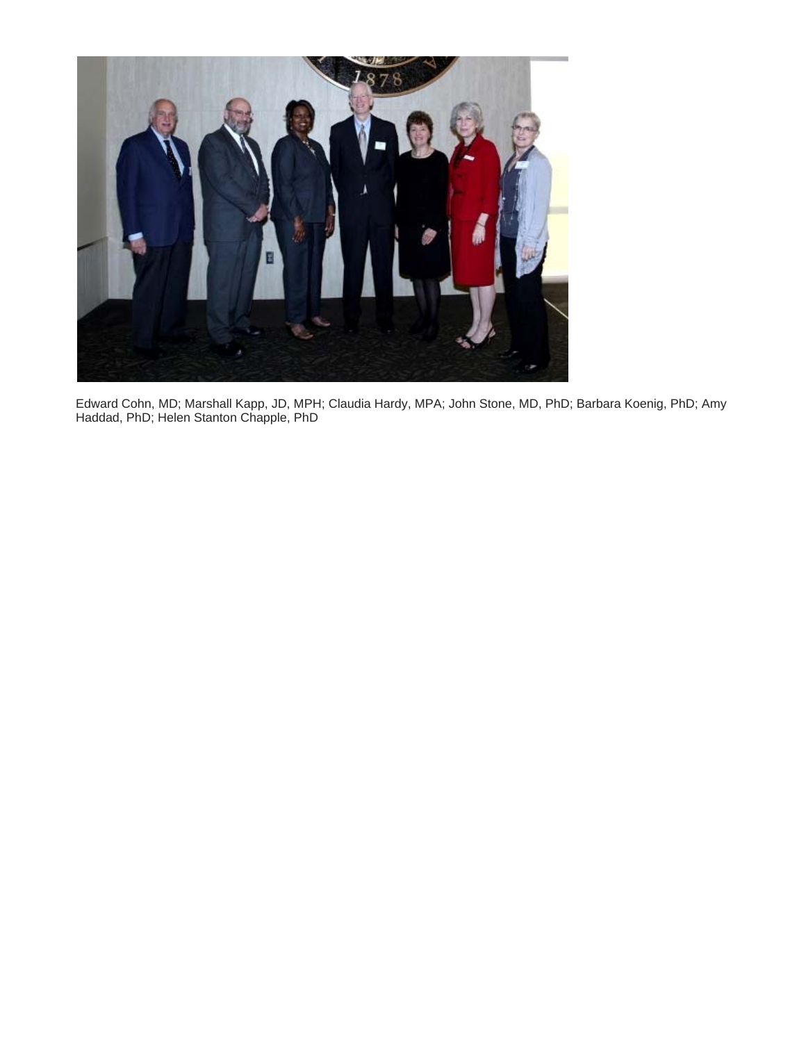

Edward Cohn, MD; Marshall Kapp, JD, MPH; Claudia Hardy, MPA; John Stone, MD, PhD; Barbara Koenig, PhD; Amy Haddad, PhD; Helen Stanton Chapple, PhD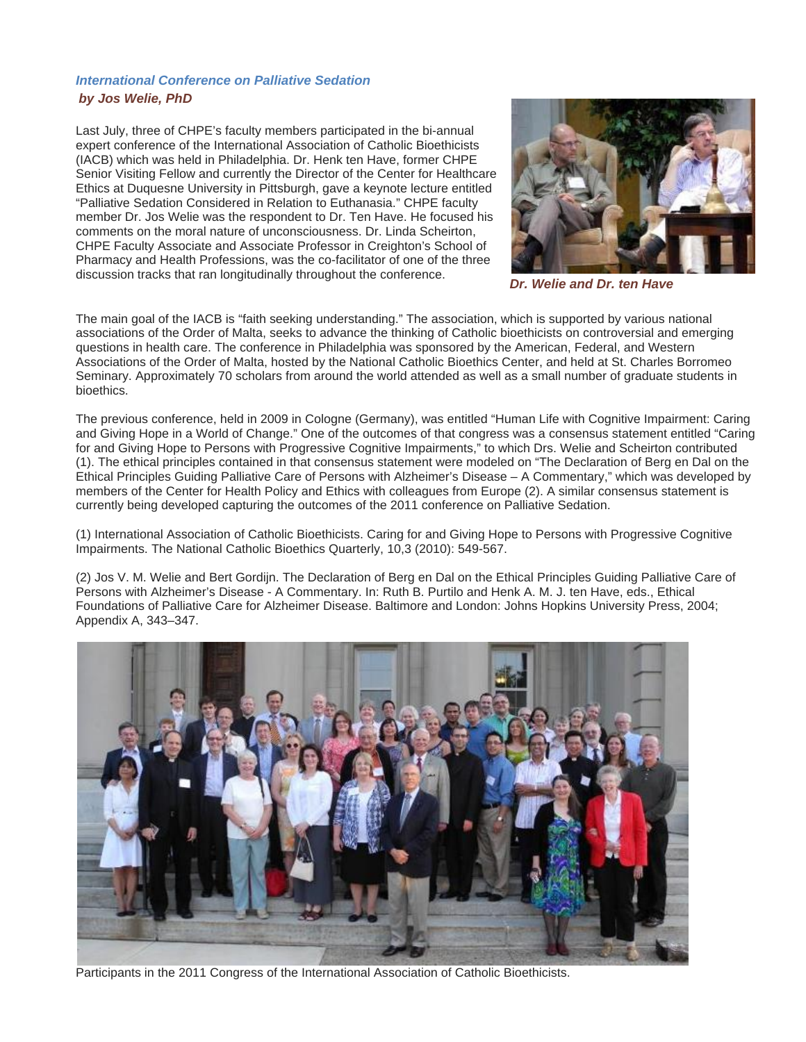# *International Conference on Palliative Sedation by Jos Welie, PhD*

Last July, three of CHPE's faculty members participated in the bi-annual expert conference of the International Association of Catholic Bioethicists (IACB) which was held in Philadelphia. Dr. Henk ten Have, former CHPE Senior Visiting Fellow and currently the Director of the Center for Healthcare Ethics at Duquesne University in Pittsburgh, gave a keynote lecture entitled "Palliative Sedation Considered in Relation to Euthanasia." CHPE faculty member Dr. Jos Welie was the respondent to Dr. Ten Have. He focused his comments on the moral nature of unconsciousness. Dr. Linda Scheirton, CHPE Faculty Associate and Associate Professor in Creighton's School of Pharmacy and Health Professions, was the co-facilitator of one of the three discussion tracks that ran longitudinally throughout the conference. *Dr. Welie and Dr. ten Have*



The main goal of the IACB is "faith seeking understanding." The association, which is supported by various national associations of the Order of Malta, seeks to advance the thinking of Catholic bioethicists on controversial and emerging questions in health care. The conference in Philadelphia was sponsored by the American, Federal, and Western Associations of the Order of Malta, hosted by the National Catholic Bioethics Center, and held at St. Charles Borromeo Seminary. Approximately 70 scholars from around the world attended as well as a small number of graduate students in bioethics.

The previous conference, held in 2009 in Cologne (Germany), was entitled "Human Life with Cognitive Impairment: Caring and Giving Hope in a World of Change." One of the outcomes of that congress was a consensus statement entitled "Caring for and Giving Hope to Persons with Progressive Cognitive Impairments," to which Drs. Welie and Scheirton contributed (1). The ethical principles contained in that consensus statement were modeled on "The Declaration of Berg en Dal on the Ethical Principles Guiding Palliative Care of Persons with Alzheimer's Disease – A Commentary," which was developed by members of the Center for Health Policy and Ethics with colleagues from Europe (2). A similar consensus statement is currently being developed capturing the outcomes of the 2011 conference on Palliative Sedation.

(1) International Association of Catholic Bioethicists. Caring for and Giving Hope to Persons with Progressive Cognitive Impairments. The National Catholic Bioethics Quarterly, 10,3 (2010): 549-567.

(2) Jos V. M. Welie and Bert Gordijn. The Declaration of Berg en Dal on the Ethical Principles Guiding Palliative Care of Persons with Alzheimer's Disease - A Commentary. In: Ruth B. Purtilo and Henk A. M. J. ten Have, eds., Ethical Foundations of Palliative Care for Alzheimer Disease. Baltimore and London: Johns Hopkins University Press, 2004; Appendix A, 343–347.



Participants in the 2011 Congress of the International Association of Catholic Bioethicists.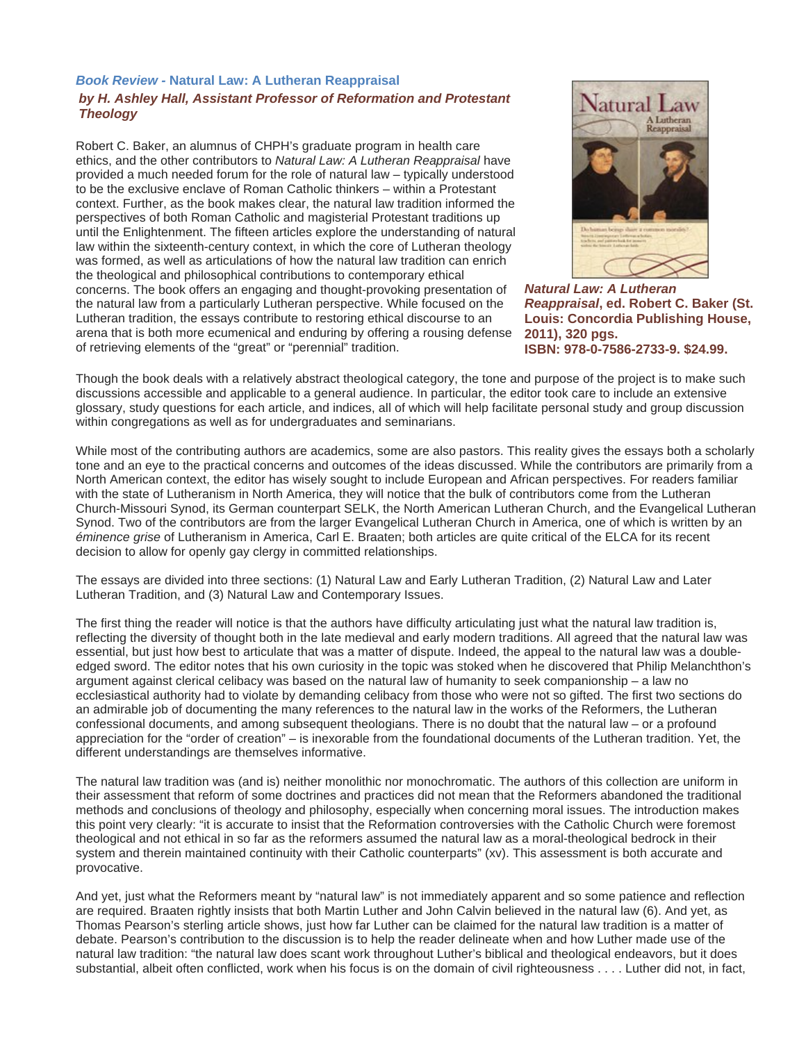## *Book Review -* **Natural Law: A Lutheran Reappraisal**  *by H. Ashley Hall, Assistant Professor of Reformation and Protestant Theology*

Robert C. Baker, an alumnus of CHPH's graduate program in health care ethics, and the other contributors to *Natural Law: A Lutheran Reappraisal* have provided a much needed forum for the role of natural law – typically understood to be the exclusive enclave of Roman Catholic thinkers – within a Protestant context. Further, as the book makes clear, the natural law tradition informed the perspectives of both Roman Catholic and magisterial Protestant traditions up until the Enlightenment. The fifteen articles explore the understanding of natural law within the sixteenth-century context, in which the core of Lutheran theology was formed, as well as articulations of how the natural law tradition can enrich the theological and philosophical contributions to contemporary ethical concerns. The book offers an engaging and thought-provoking presentation of the natural law from a particularly Lutheran perspective. While focused on the Lutheran tradition, the essays contribute to restoring ethical discourse to an arena that is both more ecumenical and enduring by offering a rousing defense of retrieving elements of the "great" or "perennial" tradition.



*Natural Law: A Lutheran Reappraisal***, ed. Robert C. Baker (St. Louis: Concordia Publishing House, 2011), 320 pgs. ISBN: 978-0-7586-2733-9. \$24.99.** 

Though the book deals with a relatively abstract theological category, the tone and purpose of the project is to make such discussions accessible and applicable to a general audience. In particular, the editor took care to include an extensive glossary, study questions for each article, and indices, all of which will help facilitate personal study and group discussion within congregations as well as for undergraduates and seminarians.

While most of the contributing authors are academics, some are also pastors. This reality gives the essays both a scholarly tone and an eye to the practical concerns and outcomes of the ideas discussed. While the contributors are primarily from a North American context, the editor has wisely sought to include European and African perspectives. For readers familiar with the state of Lutheranism in North America, they will notice that the bulk of contributors come from the Lutheran Church-Missouri Synod, its German counterpart SELK, the North American Lutheran Church, and the Evangelical Lutheran Synod. Two of the contributors are from the larger Evangelical Lutheran Church in America, one of which is written by an *éminence grise* of Lutheranism in America, Carl E. Braaten; both articles are quite critical of the ELCA for its recent decision to allow for openly gay clergy in committed relationships.

The essays are divided into three sections: (1) Natural Law and Early Lutheran Tradition, (2) Natural Law and Later Lutheran Tradition, and (3) Natural Law and Contemporary Issues.

The first thing the reader will notice is that the authors have difficulty articulating just what the natural law tradition is, reflecting the diversity of thought both in the late medieval and early modern traditions. All agreed that the natural law was essential, but just how best to articulate that was a matter of dispute. Indeed, the appeal to the natural law was a doubleedged sword. The editor notes that his own curiosity in the topic was stoked when he discovered that Philip Melanchthon's argument against clerical celibacy was based on the natural law of humanity to seek companionship – a law no ecclesiastical authority had to violate by demanding celibacy from those who were not so gifted. The first two sections do an admirable job of documenting the many references to the natural law in the works of the Reformers, the Lutheran confessional documents, and among subsequent theologians. There is no doubt that the natural law – or a profound appreciation for the "order of creation" – is inexorable from the foundational documents of the Lutheran tradition. Yet, the different understandings are themselves informative.

The natural law tradition was (and is) neither monolithic nor monochromatic. The authors of this collection are uniform in their assessment that reform of some doctrines and practices did not mean that the Reformers abandoned the traditional methods and conclusions of theology and philosophy, especially when concerning moral issues. The introduction makes this point very clearly: "it is accurate to insist that the Reformation controversies with the Catholic Church were foremost theological and not ethical in so far as the reformers assumed the natural law as a moral-theological bedrock in their system and therein maintained continuity with their Catholic counterparts" (xv). This assessment is both accurate and provocative.

And yet, just what the Reformers meant by "natural law" is not immediately apparent and so some patience and reflection are required. Braaten rightly insists that both Martin Luther and John Calvin believed in the natural law (6). And yet, as Thomas Pearson's sterling article shows, just how far Luther can be claimed for the natural law tradition is a matter of debate. Pearson's contribution to the discussion is to help the reader delineate when and how Luther made use of the natural law tradition: "the natural law does scant work throughout Luther's biblical and theological endeavors, but it does substantial, albeit often conflicted, work when his focus is on the domain of civil righteousness . . . . Luther did not, in fact,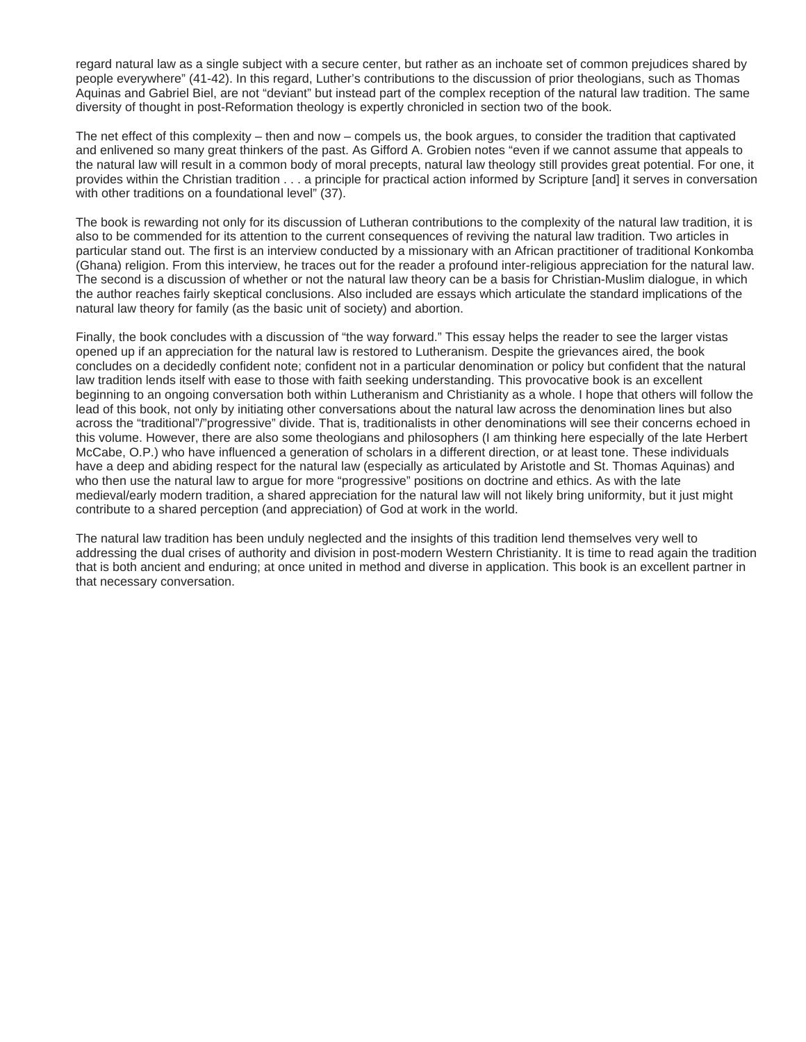regard natural law as a single subject with a secure center, but rather as an inchoate set of common prejudices shared by people everywhere" (41-42). In this regard, Luther's contributions to the discussion of prior theologians, such as Thomas Aquinas and Gabriel Biel, are not "deviant" but instead part of the complex reception of the natural law tradition. The same diversity of thought in post-Reformation theology is expertly chronicled in section two of the book.

The net effect of this complexity – then and now – compels us, the book argues, to consider the tradition that captivated and enlivened so many great thinkers of the past. As Gifford A. Grobien notes "even if we cannot assume that appeals to the natural law will result in a common body of moral precepts, natural law theology still provides great potential. For one, it provides within the Christian tradition . . . a principle for practical action informed by Scripture [and] it serves in conversation with other traditions on a foundational level" (37).

The book is rewarding not only for its discussion of Lutheran contributions to the complexity of the natural law tradition, it is also to be commended for its attention to the current consequences of reviving the natural law tradition. Two articles in particular stand out. The first is an interview conducted by a missionary with an African practitioner of traditional Konkomba (Ghana) religion. From this interview, he traces out for the reader a profound inter-religious appreciation for the natural law. The second is a discussion of whether or not the natural law theory can be a basis for Christian-Muslim dialogue, in which the author reaches fairly skeptical conclusions. Also included are essays which articulate the standard implications of the natural law theory for family (as the basic unit of society) and abortion.

Finally, the book concludes with a discussion of "the way forward." This essay helps the reader to see the larger vistas opened up if an appreciation for the natural law is restored to Lutheranism. Despite the grievances aired, the book concludes on a decidedly confident note; confident not in a particular denomination or policy but confident that the natural law tradition lends itself with ease to those with faith seeking understanding. This provocative book is an excellent beginning to an ongoing conversation both within Lutheranism and Christianity as a whole. I hope that others will follow the lead of this book, not only by initiating other conversations about the natural law across the denomination lines but also across the "traditional"/"progressive" divide. That is, traditionalists in other denominations will see their concerns echoed in this volume. However, there are also some theologians and philosophers (I am thinking here especially of the late Herbert McCabe, O.P.) who have influenced a generation of scholars in a different direction, or at least tone. These individuals have a deep and abiding respect for the natural law (especially as articulated by Aristotle and St. Thomas Aquinas) and who then use the natural law to argue for more "progressive" positions on doctrine and ethics. As with the late medieval/early modern tradition, a shared appreciation for the natural law will not likely bring uniformity, but it just might contribute to a shared perception (and appreciation) of God at work in the world.

The natural law tradition has been unduly neglected and the insights of this tradition lend themselves very well to addressing the dual crises of authority and division in post-modern Western Christianity. It is time to read again the tradition that is both ancient and enduring; at once united in method and diverse in application. This book is an excellent partner in that necessary conversation.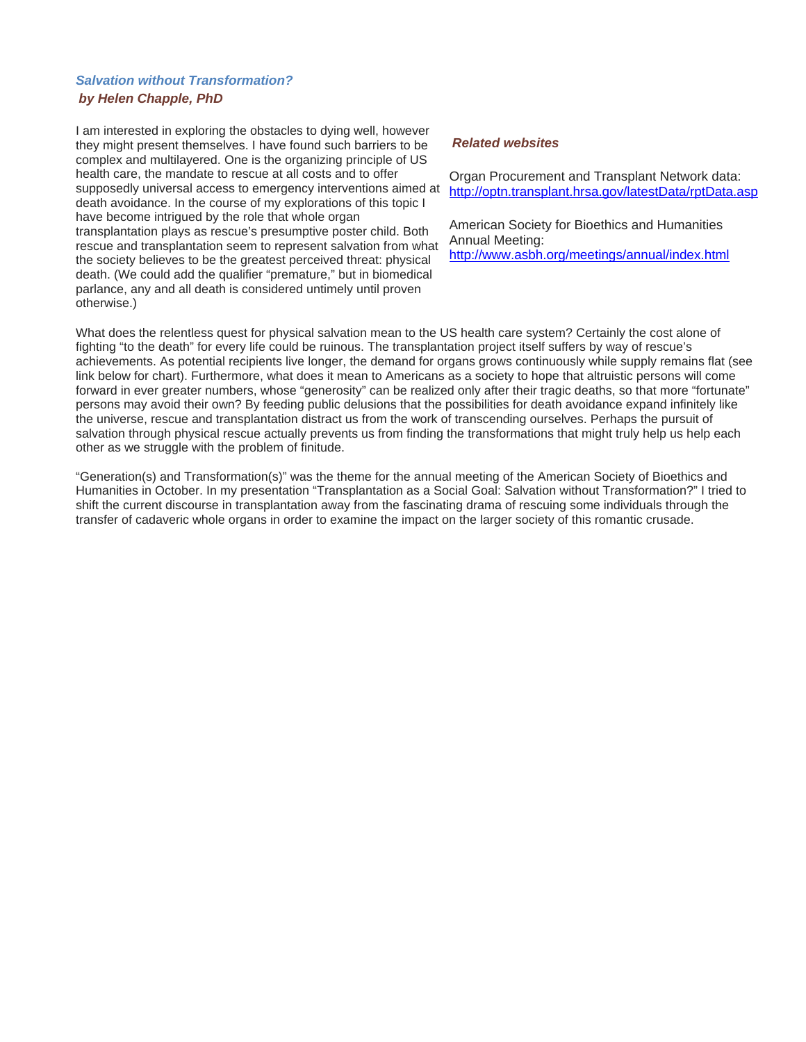# *Salvation without Transformation? by Helen Chapple, PhD*

I am interested in exploring the obstacles to dying well, however they might present themselves. I have found such barriers to be complex and multilayered. One is the organizing principle of US health care, the mandate to rescue at all costs and to offer supposedly universal access to emergency interventions aimed at death avoidance. In the course of my explorations of this topic I have become intrigued by the role that whole organ transplantation plays as rescue's presumptive poster child. Both rescue and transplantation seem to represent salvation from what the society believes to be the greatest perceived threat: physical death. (We could add the qualifier "premature," but in biomedical parlance, any and all death is considered untimely until proven otherwise.)

## *Related websites*

Organ Procurement and Transplant Network data: http://optn.transplant.hrsa.gov/latestData/rptData.asp

American Society for Bioethics and Humanities Annual Meeting:

http://www.asbh.org/meetings/annual/index.html

What does the relentless quest for physical salvation mean to the US health care system? Certainly the cost alone of fighting "to the death" for every life could be ruinous. The transplantation project itself suffers by way of rescue's achievements. As potential recipients live longer, the demand for organs grows continuously while supply remains flat (see link below for chart). Furthermore, what does it mean to Americans as a society to hope that altruistic persons will come forward in ever greater numbers, whose "generosity" can be realized only after their tragic deaths, so that more "fortunate" persons may avoid their own? By feeding public delusions that the possibilities for death avoidance expand infinitely like the universe, rescue and transplantation distract us from the work of transcending ourselves. Perhaps the pursuit of salvation through physical rescue actually prevents us from finding the transformations that might truly help us help each other as we struggle with the problem of finitude.

"Generation(s) and Transformation(s)" was the theme for the annual meeting of the American Society of Bioethics and Humanities in October. In my presentation "Transplantation as a Social Goal: Salvation without Transformation?" I tried to shift the current discourse in transplantation away from the fascinating drama of rescuing some individuals through the transfer of cadaveric whole organs in order to examine the impact on the larger society of this romantic crusade.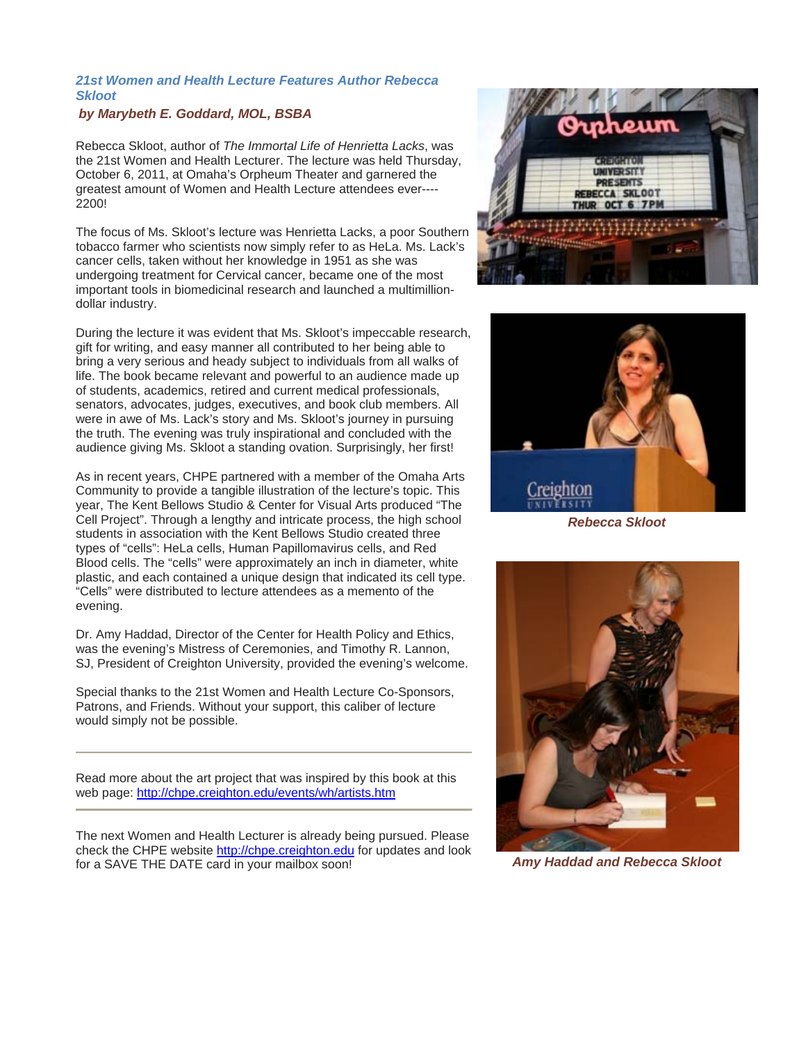## *21st Women and Health Lecture Features Author Rebecca Skloot*

## *by Marybeth E. Goddard, MOL, BSBA*

Rebecca Skloot, author of *The Immortal Life of Henrietta Lacks*, was the 21st Women and Health Lecturer. The lecture was held Thursday, October 6, 2011, at Omaha's Orpheum Theater and garnered the greatest amount of Women and Health Lecture attendees ever---- 2200!

The focus of Ms. Skloot's lecture was Henrietta Lacks, a poor Southern tobacco farmer who scientists now simply refer to as HeLa. Ms. Lack's cancer cells, taken without her knowledge in 1951 as she was undergoing treatment for Cervical cancer, became one of the most important tools in biomedicinal research and launched a multimilliondollar industry.

During the lecture it was evident that Ms. Skloot's impeccable research, gift for writing, and easy manner all contributed to her being able to bring a very serious and heady subject to individuals from all walks of life. The book became relevant and powerful to an audience made up of students, academics, retired and current medical professionals, senators, advocates, judges, executives, and book club members. All were in awe of Ms. Lack's story and Ms. Skloot's journey in pursuing the truth. The evening was truly inspirational and concluded with the audience giving Ms. Skloot a standing ovation. Surprisingly, her first!

As in recent years, CHPE partnered with a member of the Omaha Arts Community to provide a tangible illustration of the lecture's topic. This year, The Kent Bellows Studio & Center for Visual Arts produced "The Cell Project". Through a lengthy and intricate process, the high school students in association with the Kent Bellows Studio created three types of "cells": HeLa cells, Human Papillomavirus cells, and Red Blood cells. The "cells" were approximately an inch in diameter, white plastic, and each contained a unique design that indicated its cell type. "Cells" were distributed to lecture attendees as a memento of the evening.

Dr. Amy Haddad, Director of the Center for Health Policy and Ethics, was the evening's Mistress of Ceremonies, and Timothy R. Lannon, SJ, President of Creighton University, provided the evening's welcome.

Special thanks to the 21st Women and Health Lecture Co-Sponsors, Patrons, and Friends. Without your support, this caliber of lecture would simply not be possible.

Read more about the art project that was inspired by this book at this web page: http://chpe.creighton.edu/events/wh/artists.htm

The next Women and Health Lecturer is already being pursued. Please check the CHPE website http://chpe.creighton.edu for updates and look for a SAVE THE DATE card in your mailbox soon!





*Rebecca Skloot* 



*Amy Haddad and Rebecca Skloot*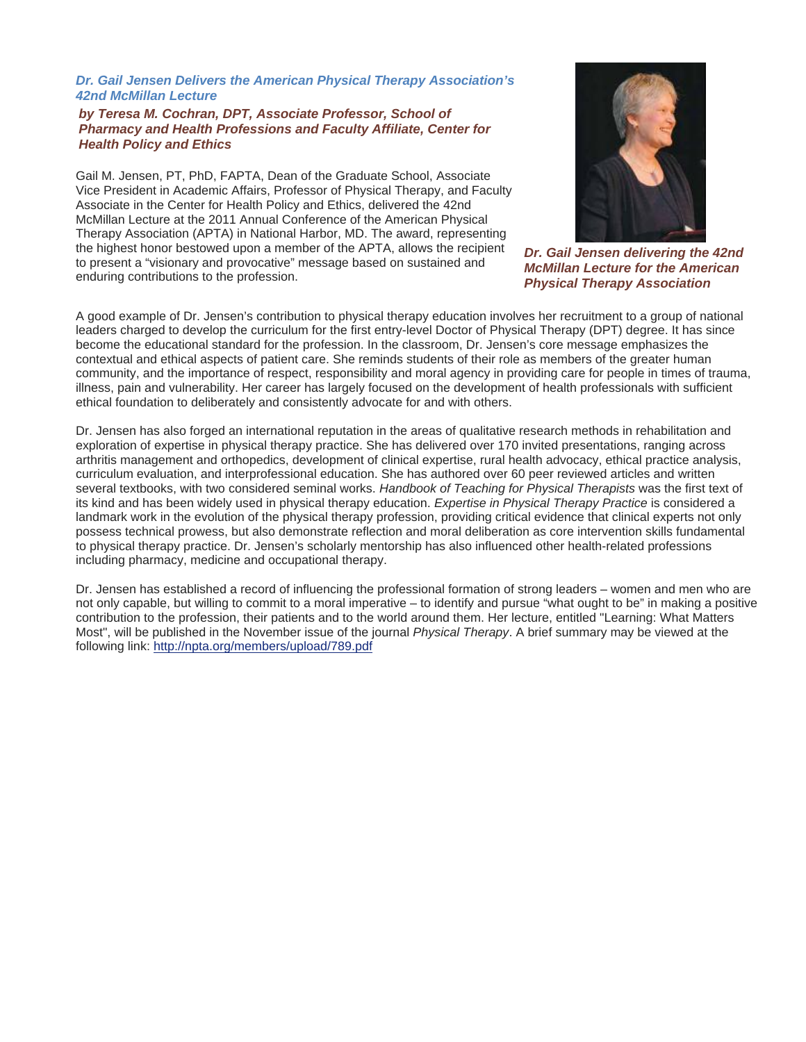### *Dr. Gail Jensen Delivers the American Physical Therapy Association's 42nd McMillan Lecture*

## *by Teresa M. Cochran, DPT, Associate Professor, School of Pharmacy and Health Professions and Faculty Affiliate, Center for Health Policy and Ethics*

Gail M. Jensen, PT, PhD, FAPTA, Dean of the Graduate School, Associate Vice President in Academic Affairs, Professor of Physical Therapy, and Faculty Associate in the Center for Health Policy and Ethics, delivered the 42nd McMillan Lecture at the 2011 Annual Conference of the American Physical Therapy Association (APTA) in National Harbor, MD. The award, representing the highest honor bestowed upon a member of the APTA, allows the recipient to present a "visionary and provocative" message based on sustained and enduring contributions to the profession.



*Dr. Gail Jensen delivering the 42nd McMillan Lecture for the American Physical Therapy Association*

A good example of Dr. Jensen's contribution to physical therapy education involves her recruitment to a group of national leaders charged to develop the curriculum for the first entry-level Doctor of Physical Therapy (DPT) degree. It has since become the educational standard for the profession. In the classroom, Dr. Jensen's core message emphasizes the contextual and ethical aspects of patient care. She reminds students of their role as members of the greater human community, and the importance of respect, responsibility and moral agency in providing care for people in times of trauma, illness, pain and vulnerability. Her career has largely focused on the development of health professionals with sufficient ethical foundation to deliberately and consistently advocate for and with others.

Dr. Jensen has also forged an international reputation in the areas of qualitative research methods in rehabilitation and exploration of expertise in physical therapy practice. She has delivered over 170 invited presentations, ranging across arthritis management and orthopedics, development of clinical expertise, rural health advocacy, ethical practice analysis, curriculum evaluation, and interprofessional education. She has authored over 60 peer reviewed articles and written several textbooks, with two considered seminal works. *Handbook of Teaching for Physical Therapists* was the first text of its kind and has been widely used in physical therapy education. *Expertise in Physical Therapy Practice* is considered a landmark work in the evolution of the physical therapy profession, providing critical evidence that clinical experts not only possess technical prowess, but also demonstrate reflection and moral deliberation as core intervention skills fundamental to physical therapy practice. Dr. Jensen's scholarly mentorship has also influenced other health-related professions including pharmacy, medicine and occupational therapy.

Dr. Jensen has established a record of influencing the professional formation of strong leaders – women and men who are not only capable, but willing to commit to a moral imperative – to identify and pursue "what ought to be" in making a positive contribution to the profession, their patients and to the world around them. Her lecture, entitled "Learning: What Matters Most", will be published in the November issue of the journal *Physical Therapy*. A brief summary may be viewed at the following link: http://npta.org/members/upload/789.pdf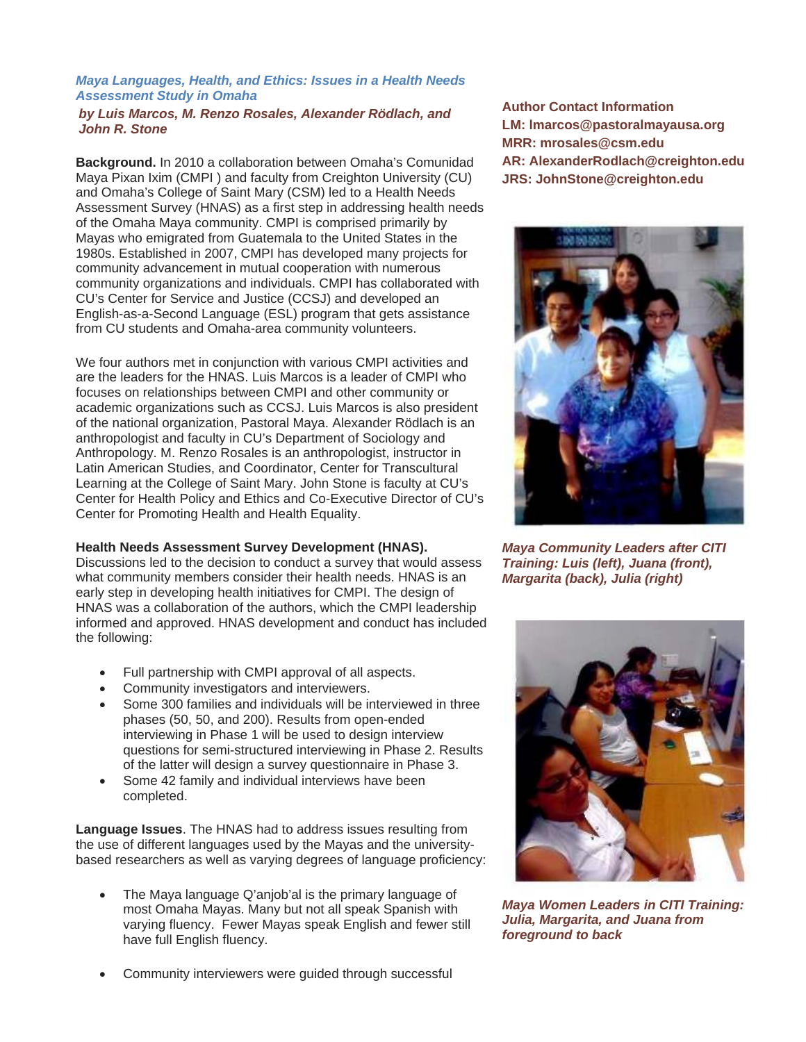## *Maya Languages, Health, and Ethics: Issues in a Health Needs Assessment Study in Omaha*

#### *by Luis Marcos, M. Renzo Rosales, Alexander Rödlach, and John R. Stone*

**Background.** In 2010 a collaboration between Omaha's Comunidad Maya Pixan Ixim (CMPI ) and faculty from Creighton University (CU) and Omaha's College of Saint Mary (CSM) led to a Health Needs Assessment Survey (HNAS) as a first step in addressing health needs of the Omaha Maya community. CMPI is comprised primarily by Mayas who emigrated from Guatemala to the United States in the 1980s. Established in 2007, CMPI has developed many projects for community advancement in mutual cooperation with numerous community organizations and individuals. CMPI has collaborated with CU's Center for Service and Justice (CCSJ) and developed an English-as-a-Second Language (ESL) program that gets assistance from CU students and Omaha-area community volunteers.

We four authors met in conjunction with various CMPI activities and are the leaders for the HNAS. Luis Marcos is a leader of CMPI who focuses on relationships between CMPI and other community or academic organizations such as CCSJ. Luis Marcos is also president of the national organization, Pastoral Maya. Alexander Rödlach is an anthropologist and faculty in CU's Department of Sociology and Anthropology. M. Renzo Rosales is an anthropologist, instructor in Latin American Studies, and Coordinator, Center for Transcultural Learning at the College of Saint Mary. John Stone is faculty at CU's Center for Health Policy and Ethics and Co-Executive Director of CU's Center for Promoting Health and Health Equality.

## **Health Needs Assessment Survey Development (HNAS).**

Discussions led to the decision to conduct a survey that would assess what community members consider their health needs. HNAS is an early step in developing health initiatives for CMPI. The design of HNAS was a collaboration of the authors, which the CMPI leadership informed and approved. HNAS development and conduct has included the following:

- Full partnership with CMPI approval of all aspects.
- Community investigators and interviewers.
- Some 300 families and individuals will be interviewed in three phases (50, 50, and 200). Results from open-ended interviewing in Phase 1 will be used to design interview questions for semi-structured interviewing in Phase 2. Results of the latter will design a survey questionnaire in Phase 3.
- Some 42 family and individual interviews have been completed.

**Language Issues**. The HNAS had to address issues resulting from the use of different languages used by the Mayas and the universitybased researchers as well as varying degrees of language proficiency:

- The Maya language Q'anjob'al is the primary language of most Omaha Mayas. Many but not all speak Spanish with varying fluency. Fewer Mayas speak English and fewer still have full English fluency.
- Community interviewers were guided through successful

**Author Contact Information LM: lmarcos@pastoralmayausa.org MRR: mrosales@csm.edu AR: AlexanderRodlach@creighton.edu JRS: JohnStone@creighton.edu** 



*Maya Community Leaders after CITI Training: Luis (left), Juana (front), Margarita (back), Julia (right)*



*Maya Women Leaders in CITI Training: Julia, Margarita, and Juana from foreground to back*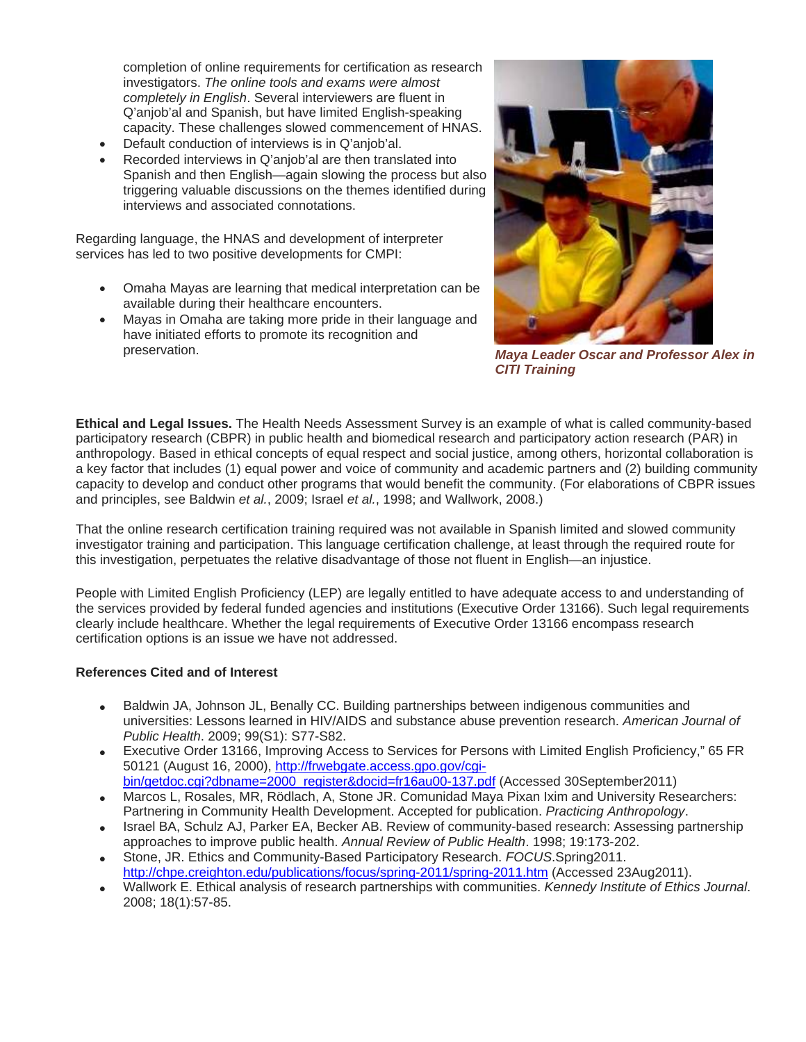completion of online requirements for certification as research investigators. *The online tools and exams were almost completely in English*. Several interviewers are fluent in Q'anjob'al and Spanish, but have limited English-speaking capacity. These challenges slowed commencement of HNAS.

- Default conduction of interviews is in Q'anjob'al.
- Recorded interviews in Q'anjob'al are then translated into Spanish and then English—again slowing the process but also triggering valuable discussions on the themes identified during interviews and associated connotations.

Regarding language, the HNAS and development of interpreter services has led to two positive developments for CMPI:

- Omaha Mayas are learning that medical interpretation can be available during their healthcare encounters.
- Mayas in Omaha are taking more pride in their language and have initiated efforts to promote its recognition and preservation. *Maya Leader Oscar and Professor Alex in*



*CITI Training* 

**Ethical and Legal Issues.** The Health Needs Assessment Survey is an example of what is called community-based participatory research (CBPR) in public health and biomedical research and participatory action research (PAR) in anthropology. Based in ethical concepts of equal respect and social justice, among others, horizontal collaboration is a key factor that includes (1) equal power and voice of community and academic partners and (2) building community capacity to develop and conduct other programs that would benefit the community. (For elaborations of CBPR issues and principles, see Baldwin *et al.*, 2009; Israel *et al.*, 1998; and Wallwork, 2008.)

That the online research certification training required was not available in Spanish limited and slowed community investigator training and participation. This language certification challenge, at least through the required route for this investigation, perpetuates the relative disadvantage of those not fluent in English—an injustice.

People with Limited English Proficiency (LEP) are legally entitled to have adequate access to and understanding of the services provided by federal funded agencies and institutions (Executive Order 13166). Such legal requirements clearly include healthcare. Whether the legal requirements of Executive Order 13166 encompass research certification options is an issue we have not addressed.

## **References Cited and of Interest**

- Baldwin JA, Johnson JL, Benally CC. Building partnerships between indigenous communities and universities: Lessons learned in HIV/AIDS and substance abuse prevention research. *American Journal of Public Health*. 2009; 99(S1): S77-S82.
- Executive Order 13166, Improving Access to Services for Persons with Limited English Proficiency," 65 FR 50121 (August 16, 2000), http://frwebgate.access.gpo.gov/cgibin/getdoc.cgi?dbname=2000\_register&docid=fr16au00-137.pdf (Accessed 30September2011)
- Marcos L, Rosales, MR, Rödlach, A, Stone JR. Comunidad Maya Pixan Ixim and University Researchers: Partnering in Community Health Development. Accepted for publication. *Practicing Anthropology*.
- Israel BA, Schulz AJ, Parker EA, Becker AB. Review of community-based research: Assessing partnership approaches to improve public health. *Annual Review of Public Health*. 1998; 19:173-202.
- Stone, JR. Ethics and Community-Based Participatory Research. *FOCUS*.Spring2011. http://chpe.creighton.edu/publications/focus/spring-2011/spring-2011.htm (Accessed 23Aug2011).
- Wallwork E. Ethical analysis of research partnerships with communities. *Kennedy Institute of Ethics Journal*. 2008; 18(1):57-85.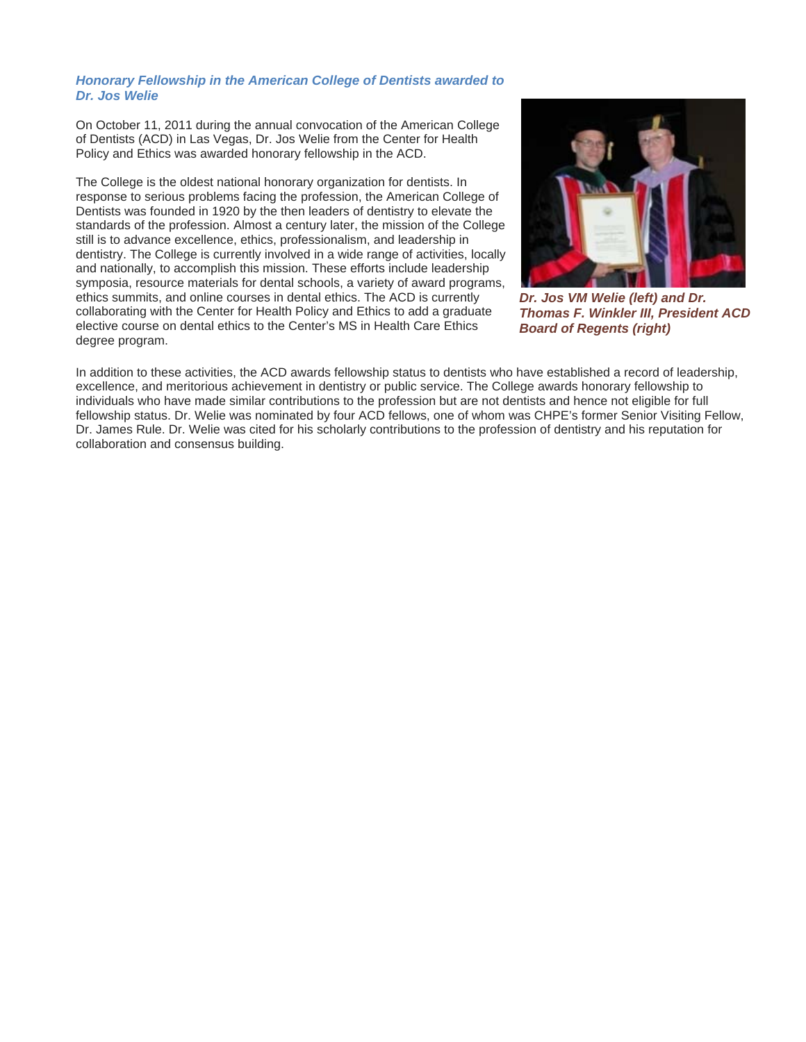#### *Honorary Fellowship in the American College of Dentists awarded to Dr. Jos Welie*

On October 11, 2011 during the annual convocation of the American College of Dentists (ACD) in Las Vegas, Dr. Jos Welie from the Center for Health Policy and Ethics was awarded honorary fellowship in the ACD.

The College is the oldest national honorary organization for dentists. In response to serious problems facing the profession, the American College of Dentists was founded in 1920 by the then leaders of dentistry to elevate the standards of the profession. Almost a century later, the mission of the College still is to advance excellence, ethics, professionalism, and leadership in dentistry. The College is currently involved in a wide range of activities, locally and nationally, to accomplish this mission. These efforts include leadership symposia, resource materials for dental schools, a variety of award programs, ethics summits, and online courses in dental ethics. The ACD is currently collaborating with the Center for Health Policy and Ethics to add a graduate elective course on dental ethics to the Center's MS in Health Care Ethics degree program.



*Dr. Jos VM Welie (left) and Dr. Thomas F. Winkler III, President ACD Board of Regents (right)*

In addition to these activities, the ACD awards fellowship status to dentists who have established a record of leadership, excellence, and meritorious achievement in dentistry or public service. The College awards honorary fellowship to individuals who have made similar contributions to the profession but are not dentists and hence not eligible for full fellowship status. Dr. Welie was nominated by four ACD fellows, one of whom was CHPE's former Senior Visiting Fellow, Dr. James Rule. Dr. Welie was cited for his scholarly contributions to the profession of dentistry and his reputation for collaboration and consensus building.